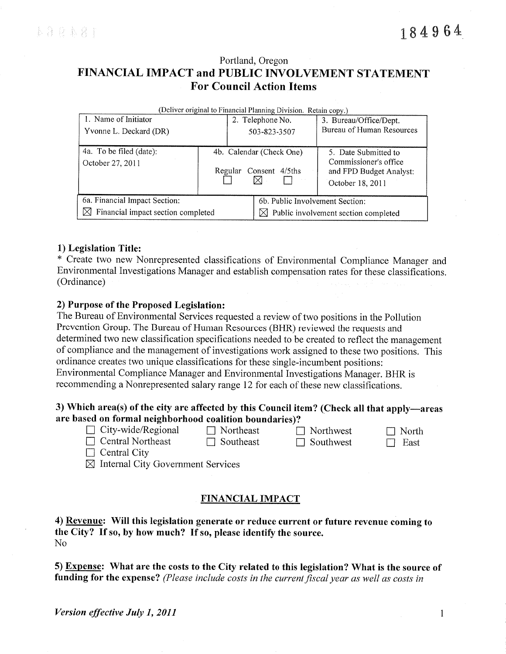# Portland, Oregon FINANCIAL IMPACT and PUBLIC INVOLVEMENT STATEMENT **For Council Action Items**

| (Deliver original to Financial Planning Division. Retain copy.) |                                                       |                  |                                                                                              |  |  |  |
|-----------------------------------------------------------------|-------------------------------------------------------|------------------|----------------------------------------------------------------------------------------------|--|--|--|
| 1. Name of Initiator                                            |                                                       | 2. Telephone No. | 3. Bureau/Office/Dept.                                                                       |  |  |  |
| Yvonne L. Deckard (DR)                                          |                                                       | 503-823-3507     | Bureau of Human Resources                                                                    |  |  |  |
| 4a. To be filed (date):<br>October 27, 2011                     | 4b. Calendar (Check One)<br>Consent 4/5ths<br>Regular |                  | 5. Date Submitted to<br>Commissioner's office<br>and FPD Budget Analyst:<br>October 18, 2011 |  |  |  |
| 6a. Financial Impact Section:                                   |                                                       |                  | 6b. Public Involvement Section:                                                              |  |  |  |
| Financial impact section completed<br>M                         |                                                       |                  | $\boxtimes$ Public involvement section completed                                             |  |  |  |

## 1) Legislation Title:

\* Create two new Nonrepresented classifications of Environmental Compliance Manager and Environmental Investigations Manager and establish compensation rates for these classifications. (Ordinance)

### 2) Purpose of the Proposed Legislation:

The Bureau of Environmental Services requested a review of two positions in the Pollution Prevention Group. The Bureau of Human Resources (BHR) reviewed the requests and determined two new classification specifications needed to be created to reflect the management of compliance and the management of investigations work assigned to these two positions. This ordinance creates two unique classifications for these single-incumbent positions: Environmental Compliance Manager and Environmental Investigations Manager. BHR is recommending a Nonrepresented salary range 12 for each of these new classifications.

### 3) Which area(s) of the city are affected by this Council item? (Check all that apply—areas are based on formal neighborhood coalition boundaries)?

 $\Box$  City-wide/Regional

 $\Box$  Northeast

 $\Box$  Northwest

 $\Box$  Southwest

 $\Box$  Central Northeast

 $\Box$  Southeast

- $\Box$  Central City
- $\boxtimes$  Internal City Government Services

## **FINANCIAL IMPACT**

4) Revenue: Will this legislation generate or reduce current or future revenue coming to the City? If so, by how much? If so, please identify the source.  $No$ 

5) Expense: What are the costs to the City related to this legislation? What is the source of funding for the expense? (Please include costs in the current fiscal year as well as costs in

 $\mathbf{1}$ 

 $\Box$  North

 $\Box$  East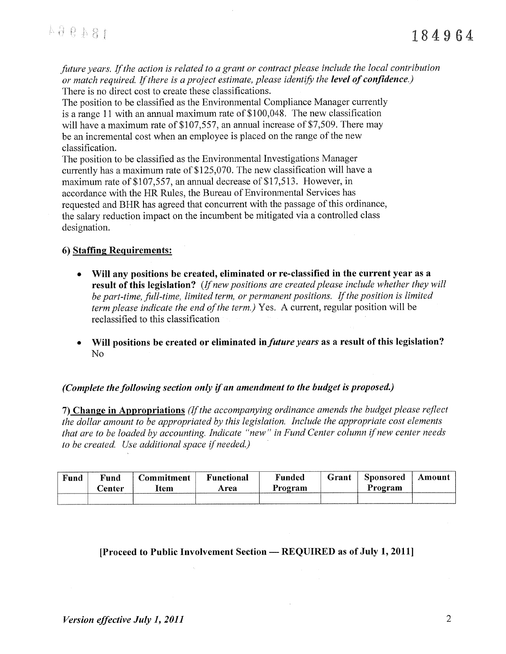future years. If the action is related to a grant or contract please include the local contribution or match required. If there is a project estimate, please identify the level of confidence.) There is no direct cost to create these classifications.

The position to be classified as the Environmental Compliance Manager currently is a range 11 with an annual maximum rate of  $$100,048$ . The new classification will have a maximum rate of \$107,557, an annual increase of \$7,509. There may be an incremental cost when an employee is placed on the range of the new classification.

The position to be classified as the Environmental Investigations Manager currently has a maximum rate of \$125,070. The new classification will have a maximum rate of \$107,557, an annual decrease of \$17,513. However, in accordance with the HR Rules, the Bureau of Environmental Services has requested and BHR has agreed that concurrent with the passage of this ordinance, the salary reduction impact on the incumbent be mitigated via a controlled class designation.

## 6) Staffing Requirements:

- Will any positions be created, eliminated or re-classified in the current year as a result of this legislation? (If new positions are created please include whether they will be part-time, full-time, limited term, or permanent positions. If the position is limited *term please indicate the end of the term.*) Yes. A current, regular position will be reclassified to this classification
- Will positions be created or eliminated in *future years* as a result of this legislation?  $\bullet$ N<sub>o</sub>

### (Complete the following section only if an amendment to the budget is proposed.)

7) Change in Appropriations (If the accompanying ordinance amends the budget please reflect the dollar amount to be appropriated by this legislation. Include the appropriate cost elements that are to be loaded by accounting. Indicate "new" in Fund Center column if new center needs to be created. Use additional space if needed.)

| Fund | Fund<br><b>Center</b> | Commitment<br>ltem | <b>Functional</b><br>Area | Funded<br>Program | Grant | Sponsored<br>Program | Amount |
|------|-----------------------|--------------------|---------------------------|-------------------|-------|----------------------|--------|
|      |                       |                    |                           |                   |       |                      |        |

## [Proceed to Public Involvement Section - REQUIRED as of July 1, 2011]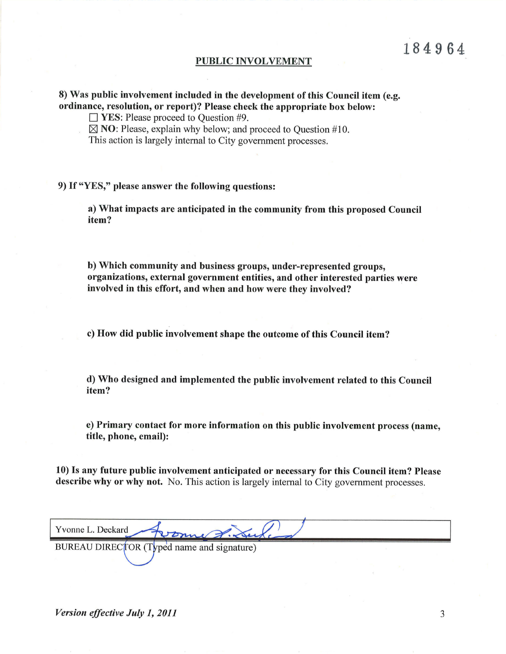#### PUBLIC INVOLVEMENT

8) Was public involvement included in the development of this Council item (e.g. ordinance, resolution, or report)? Please check the appropriate box below:

 $\Box$  YES: Please proceed to Question #9.

 $\boxtimes$  NO: Please, explain why below; and proceed to Question #10.

This action is largely internal to City government processes.

9) If "YES," please answer the following questions:

a) What impacts are anticipated in the community from this proposed Council item?

b) Which community and business groups, under-represented groups, organizations, external government entities, and other interested parties were involved in this effort, and when and how were they involved?

c) How did public involvement shape the outcome of this Council item?

d) Who designed and implemented the public involvement related to this Council item?

e) Primary contact for more information on this public involvement process (name, title, phone, email):

10) Is any future public involvement anticipated or necessary for this Council item? Please describe why or why not. No. This action is largely internal to City government processes.

| Yvonne L. Deckard Roome J. Luke            |  |
|--------------------------------------------|--|
| BUREAU DIRECTOR (Typed name and signature) |  |
|                                            |  |